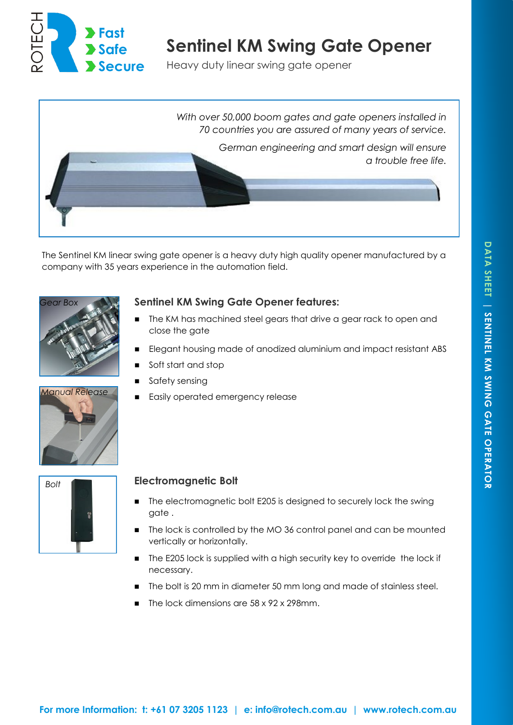

# **Sentinel KM Swing Gate Opener**

Heavy duty linear swing gate opener



The Sentinel KM linear swing gate opener is a heavy duty high quality opener manufactured by a company with 35 years experience in the automation field.



# **Sentinel KM Swing Gate Opener features:**

- The KM has machined steel gears that drive a gear rack to open and close the gate
- Elegant housing made of anodized aluminium and impact resistant ABS
- Soft start and stop
- Safety sensing
- Easily operated emergency release





## **Electromagnetic Bolt**

- The electromagnetic bolt E205 is designed to securely lock the swing gate .
- The lock is controlled by the MO 36 control panel and can be mounted vertically or horizontally.
- The E205 lock is supplied with a high security key to override the lock if necessary.
- The bolt is 20 mm in diameter 50 mm long and made of stainless steel.
- The lock dimensions are 58 x 92 x 298mm.